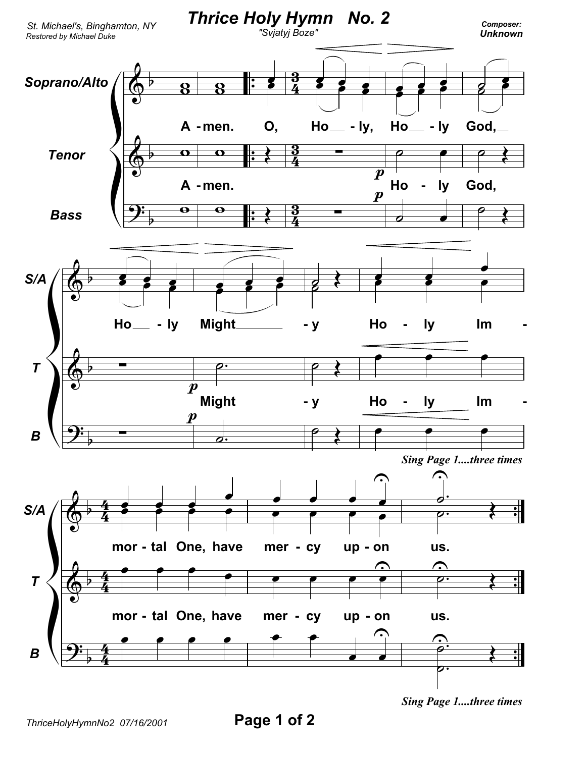

*Sing Page 1....three times*